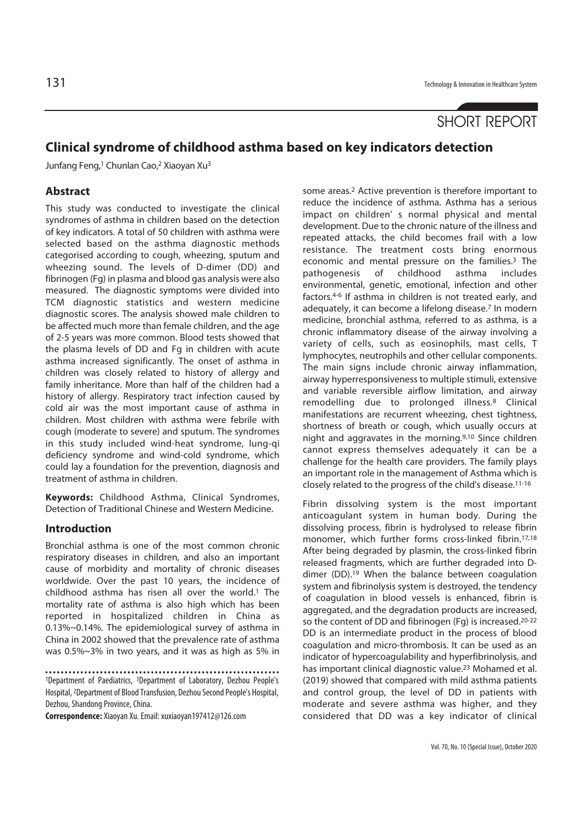# SHORT REPORT

## **Clinical syndrome of childhood asthma based on key indicators detection**

Junfang Feng,1 Chunlan Cao,2 Xiaoyan Xu3

#### **Abstract**

This study was conducted to investigate the clinical syndromes of asthma in children based on the detection of key indicators. A total of 50 children with asthma were selected based on the asthma diagnostic methods categorised according to cough, wheezing, sputum and wheezing sound. The levels of D-dimer (DD) and fibrinogen (Fg) in plasma and blood gas analysis were also measured. The diagnostic symptoms were divided into TCM diagnostic statistics and western medicine diagnostic scores. The analysis showed male children to be affected much more than female children, and the age of 2-5 years was more common. Blood tests showed that the plasma levels of DD and Fg in children with acute asthma increased significantly. The onset of asthma in children was closely related to history of allergy and family inheritance. More than half of the children had a history of allergy. Respiratory tract infection caused by cold air was the most important cause of asthma in children. Most children with asthma were febrile with cough (moderate to severe) and sputum. The syndromes in this study included wind-heat syndrome, lung-qi deficiency syndrome and wind-cold syndrome, which could lay a foundation for the prevention, diagnosis and treatment of asthma in children.

**Keywords:** Childhood Asthma, Clinical Syndromes, Detection of Traditional Chinese and Western Medicine.

### **Introduction**

Bronchial asthma is one of the most common chronic respiratory diseases in children, and also an important cause of morbidity and mortality of chronic diseases worldwide. Over the past 10 years, the incidence of childhood asthma has risen all over the world.<sup>1</sup> The mortality rate of asthma is also high which has been reported in hospitalized children in China as 0.13%~0.14%. The epidemiological survey of asthma in China in 2002 showed that the prevalence rate of asthma was 0.5%~3% in two years, and it was as high as 5% in

**Correspondence:** Xiaoyan Xu. Email: xuxiaoyan197412@126.com

some areas.2 Active prevention is therefore important to reduce the incidence of asthma. Asthma has a serious impact on children' s normal physical and mental development. Due to the chronic nature of the illness and repeated attacks, the child becomes frail with a low resistance. The treatment costs bring enormous economic and mental pressure on the families.3 The pathogenesis of childhood asthma includes environmental, genetic, emotional, infection and other factors.4-6 If asthma in children is not treated early, and adequately, it can become a lifelong disease.7 In modern medicine, bronchial asthma, referred to as asthma, is a chronic inflammatory disease of the airway involving a variety of cells, such as eosinophils, mast cells, T lymphocytes, neutrophils and other cellular components. The main signs include chronic airway inflammation, airway hyperresponsiveness to multiple stimuli, extensive and variable reversible airflow limitation, and airway remodelling due to prolonged illness.8 Clinical manifestations are recurrent wheezing, chest tightness, shortness of breath or cough, which usually occurs at night and aggravates in the morning.9,10 Since children cannot express themselves adequately it can be a challenge for the health care providers. The family plays an important role in the management of Asthma which is closely related to the progress of the child's disease.11-16

Fibrin dissolving system is the most important anticoagulant system in human body. During the dissolving process, fibrin is hydrolysed to release fibrin monomer, which further forms cross-linked fibrin.17,18 After being degraded by plasmin, the cross-linked fibrin released fragments, which are further degraded into Ddimer (DD).19 When the balance between coagulation system and fibrinolysis system is destroyed, the tendency of coagulation in blood vessels is enhanced, fibrin is aggregated, and the degradation products are increased, so the content of DD and fibrinogen (Fg) is increased.20-22 DD is an intermediate product in the process of blood coagulation and micro-thrombosis. It can be used as an indicator of hypercoagulability and hyperfibrinolysis, and has important clinical diagnostic value.<sup>23</sup> Mohamed et al. (2019) showed that compared with mild asthma patients and control group, the level of DD in patients with moderate and severe asthma was higher, and they considered that DD was a key indicator of clinical

<sup>1</sup>Department of Paediatrics, 3Department of Laboratory, Dezhou People's Hospital, 2Department of Blood Transfusion, Dezhou Second People's Hospital, Dezhou, Shandong Province, China.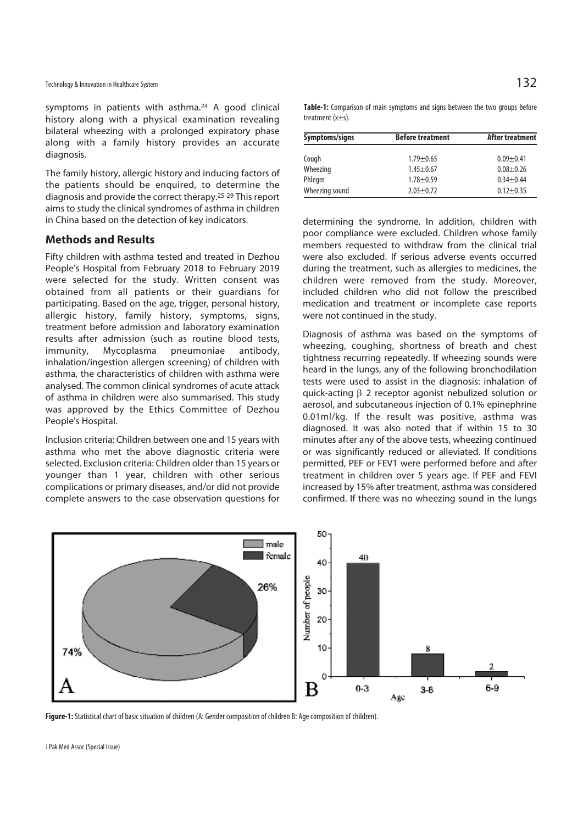symptoms in patients with asthma.<sup>24</sup> A good clinical history along with a physical examination revealing bilateral wheezing with a prolonged expiratory phase along with a family history provides an accurate diagnosis.

The family history, allergic history and inducing factors of the patients should be enquired, to determine the diagnosis and provide the correct therapy.25-29 This report aims to study the clinical syndromes of asthma in children in China based on the detection of key indicators.

#### **Methods and Results**

Fifty children with asthma tested and treated in Dezhou People's Hospital from February 2018 to February 2019 were selected for the study. Written consent was obtained from all patients or their guardians for participating. Based on the age, trigger, personal history, allergic history, family history, symptoms, signs, treatment before admission and laboratory examination results after admission (such as routine blood tests, immunity, Mycoplasma pneumoniae antibody, inhalation/ingestion allergen screening) of children with asthma, the characteristics of children with asthma were analysed. The common clinical syndromes of acute attack of asthma in children were also summarised. This study was approved by the Ethics Committee of Dezhou People's Hospital.

Inclusion criteria: Children between one and 15 years with asthma who met the above diagnostic criteria were selected. Exclusion criteria: Children older than 15 years or younger than 1 year, children with other serious complications or primary diseases, and/or did not provide complete answers to the case observation questions for **Table-1:** Comparison of main symptoms and signs between the two groups before treatment (x±s).

| Symptoms/signs | <b>Before treatment</b> | <b>After treatment</b> |
|----------------|-------------------------|------------------------|
| Cough          | $1.79 + 0.65$           | $0.09 + 0.41$          |
| Wheezing       | $1.45 + 0.67$           | $0.08 + 0.26$          |
| Phlegm         | $1.78 + 0.59$           | $0.34 + 0.44$          |
| Wheezing sound | $2.03 + 0.72$           | $0.12 + 0.35$          |

determining the syndrome. In addition, children with poor compliance were excluded. Children whose family members requested to withdraw from the clinical trial were also excluded. If serious adverse events occurred during the treatment, such as allergies to medicines, the children were removed from the study. Moreover, included children who did not follow the prescribed medication and treatment or incomplete case reports were not continued in the study.

Diagnosis of asthma was based on the symptoms of wheezing, coughing, shortness of breath and chest tightness recurring repeatedly. If wheezing sounds were heard in the lungs, any of the following bronchodilation tests were used to assist in the diagnosis: inhalation of quick-acting β 2 receptor agonist nebulized solution or aerosol, and subcutaneous injection of 0.1% epinephrine 0.01ml/kg. If the result was positive, asthma was diagnosed. It was also noted that if within 15 to 30 minutes after any of the above tests, wheezing continued or was significantly reduced or alleviated. If conditions permitted, PEF or FEV1 were performed before and after treatment in children over 5 years age. If PEF and FEVI increased by 15% after treatment, asthma was considered confirmed. If there was no wheezing sound in the lungs



**Figure-1:** Statistical chart of basic situation of children (A: Gender composition of children B: Age composition of children).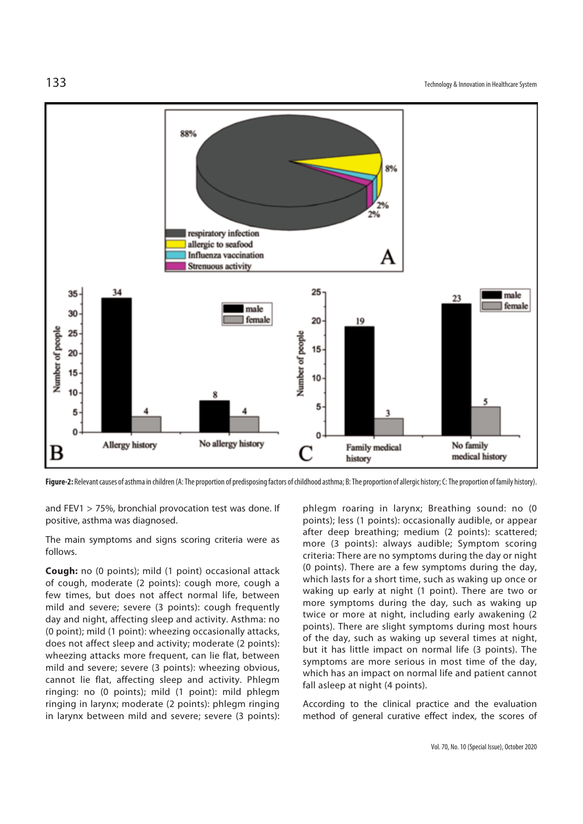

Figure-2: Relevant causes of asthma in children (A: The proportion of predisposing factors of childhood asthma; B: The proportion of allergic history; C: The proportion of family history).

and FEV1 > 75%, bronchial provocation test was done. If positive, asthma was diagnosed.

The main symptoms and signs scoring criteria were as follows.

**Cough:** no (0 points); mild (1 point) occasional attack of cough, moderate (2 points): cough more, cough a few times, but does not affect normal life, between mild and severe; severe (3 points): cough frequently day and night, affecting sleep and activity. Asthma: no (0 point); mild (1 point): wheezing occasionally attacks, does not affect sleep and activity; moderate (2 points): wheezing attacks more frequent, can lie flat, between mild and severe; severe (3 points): wheezing obvious, cannot lie flat, affecting sleep and activity. Phlegm ringing: no (0 points); mild (1 point): mild phlegm ringing in larynx; moderate (2 points): phlegm ringing in larynx between mild and severe; severe (3 points): phlegm roaring in larynx; Breathing sound: no (0 points); less (1 points): occasionally audible, or appear after deep breathing; medium (2 points): scattered; more (3 points): always audible; Symptom scoring criteria: There are no symptoms during the day or night (0 points). There are a few symptoms during the day, which lasts for a short time, such as waking up once or waking up early at night (1 point). There are two or more symptoms during the day, such as waking up twice or more at night, including early awakening (2 points). There are slight symptoms during most hours of the day, such as waking up several times at night, but it has little impact on normal life (3 points). The symptoms are more serious in most time of the day, which has an impact on normal life and patient cannot fall asleep at night (4 points).

According to the clinical practice and the evaluation method of general curative effect index, the scores of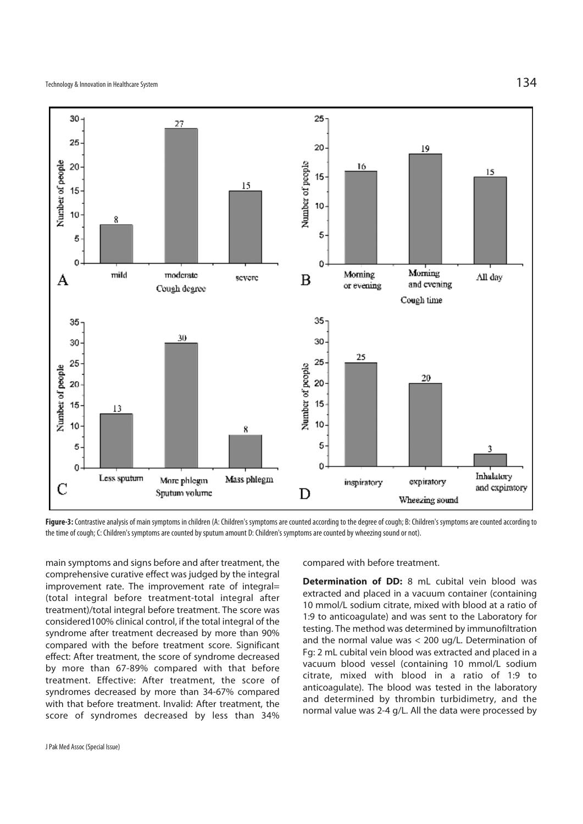

Figure-3: Contrastive analysis of main symptoms in children (A: Children's symptoms are counted according to the degree of cough; B: Children's symptoms are counted according to the time of cough; C: Children's symptoms are counted by sputum amount D: Children's symptoms are counted by wheezing sound or not).

main symptoms and signs before and after treatment, the comprehensive curative effect was judged by the integral improvement rate. The improvement rate of integral= (total integral before treatment-total integral after treatment)/total integral before treatment. The score was considered100% clinical control, if the total integral of the syndrome after treatment decreased by more than 90% compared with the before treatment score. Significant effect: After treatment, the score of syndrome decreased by more than 67-89% compared with that before treatment. Effective: After treatment, the score of syndromes decreased by more than 34-67% compared with that before treatment. Invalid: After treatment, the score of syndromes decreased by less than 34%

compared with before treatment.

**Determination of DD:** 8 mL cubital vein blood was extracted and placed in a vacuum container (containing 10 mmol/L sodium citrate, mixed with blood at a ratio of 1:9 to anticoagulate) and was sent to the Laboratory for testing. The method was determined by immunofiltration and the normal value was < 200 ug/L. Determination of Fg: 2 mL cubital vein blood was extracted and placed in a vacuum blood vessel (containing 10 mmol/L sodium citrate, mixed with blood in a ratio of 1:9 to anticoagulate). The blood was tested in the laboratory and determined by thrombin turbidimetry, and the normal value was 2-4 g/L. All the data were processed by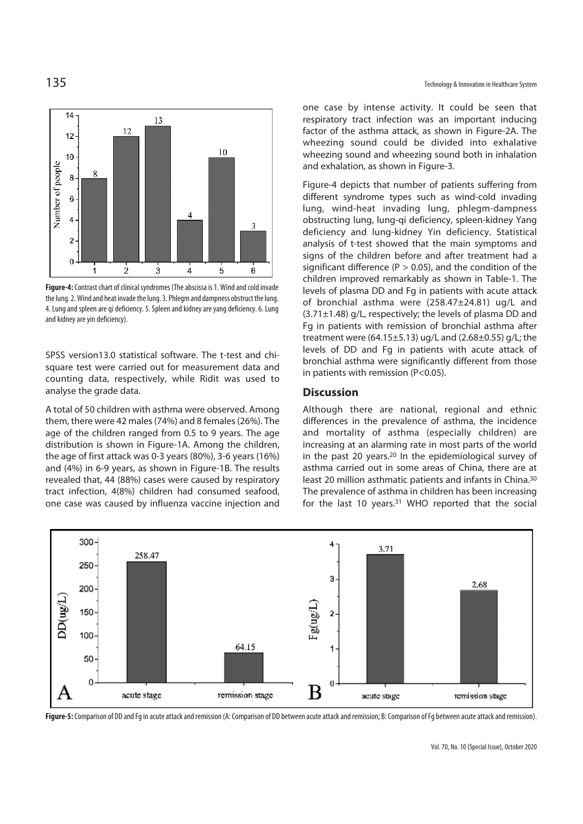

**Figure-4:** Contrast chart of clinical syndromes (The abscissa is 1. Wind and cold invade the lung. 2. Wind and heat invade the lung. 3. Phlegm and dampness obstruct the lung. 4. Lung and spleen are qi deficiency. 5. Spleen and kidney are yang deficiency. 6. Lung and kidney are yin deficiency).

SPSS version13.0 statistical software. The t-test and chisquare test were carried out for measurement data and counting data, respectively, while Ridit was used to analyse the grade data.

A total of 50 children with asthma were observed. Among them, there were 42 males (74%) and 8 females (26%). The age of the children ranged from 0.5 to 9 years. The age distribution is shown in Figure-1A. Among the children, the age of first attack was 0-3 years (80%), 3-6 years (16%) and (4%) in 6-9 years, as shown in Figure-1B. The results revealed that, 44 (88%) cases were caused by respiratory tract infection, 4(8%) children had consumed seafood, one case was caused by influenza vaccine injection and

one case by intense activity. It could be seen that respiratory tract infection was an important inducing factor of the asthma attack, as shown in Figure-2A. The wheezing sound could be divided into exhalative wheezing sound and wheezing sound both in inhalation and exhalation, as shown in Figure-3.

Figure-4 depicts that number of patients suffering from different syndrome types such as wind-cold invading lung, wind-heat invading lung, phlegm-dampness obstructing lung, lung-qi deficiency, spleen-kidney Yang deficiency and lung-kidney Yin deficiency. Statistical analysis of t-test showed that the main symptoms and signs of the children before and after treatment had a significant difference ( $P > 0.05$ ), and the condition of the children improved remarkably as shown in Table-1. The levels of plasma DD and Fg in patients with acute attack of bronchial asthma were (258.47±24.81) ug/L and (3.71±1.48) g/L, respectively; the levels of plasma DD and Fg in patients with remission of bronchial asthma after treatment were (64.15±5.13) ug/L and (2.68±0.55) g/L; the levels of DD and Fg in patients with acute attack of bronchial asthma were significantly different from those in patients with remission (P<0.05).

### **Discussion**

Although there are national, regional and ethnic differences in the prevalence of asthma, the incidence and mortality of asthma (especially children) are increasing at an alarming rate in most parts of the world in the past 20 years.<sup>20</sup> In the epidemiological survey of asthma carried out in some areas of China, there are at least 20 million asthmatic patients and infants in China.30 The prevalence of asthma in children has been increasing for the last 10 years.<sup>31</sup> WHO reported that the social



**Figure-5:** Comparison of DD and Fg in acute attack and remission (A: Comparison of DD between acute attack and remission; B: Comparison of Fg between acute attack and remission).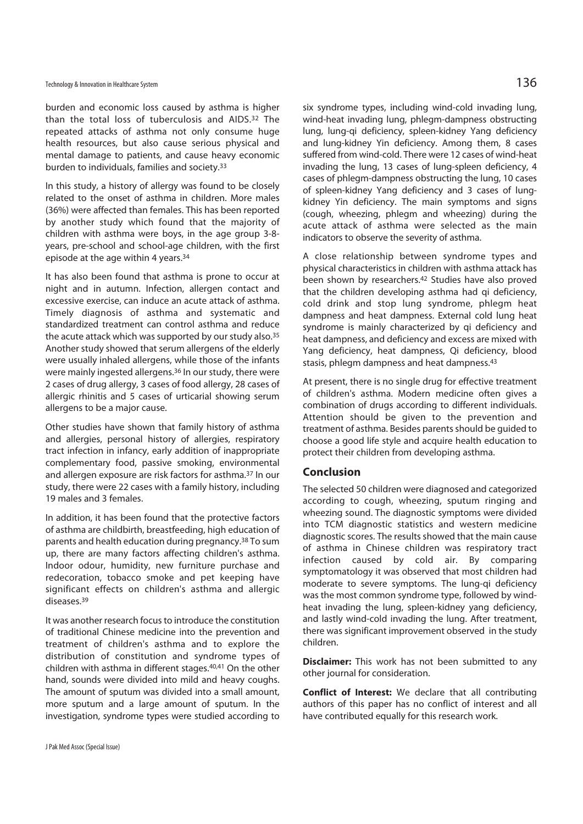burden and economic loss caused by asthma is higher than the total loss of tuberculosis and AIDS.32 The repeated attacks of asthma not only consume huge health resources, but also cause serious physical and mental damage to patients, and cause heavy economic burden to individuals, families and society.33

In this study, a history of allergy was found to be closely related to the onset of asthma in children. More males (36%) were affected than females. This has been reported by another study which found that the majority of children with asthma were boys, in the age group 3-8 years, pre-school and school-age children, with the first episode at the age within 4 years.34

It has also been found that asthma is prone to occur at night and in autumn. Infection, allergen contact and excessive exercise, can induce an acute attack of asthma. Timely diagnosis of asthma and systematic and standardized treatment can control asthma and reduce the acute attack which was supported by our study also.35 Another study showed that serum allergens of the elderly were usually inhaled allergens, while those of the infants were mainly ingested allergens.36 In our study, there were 2 cases of drug allergy, 3 cases of food allergy, 28 cases of allergic rhinitis and 5 cases of urticarial showing serum allergens to be a major cause.

Other studies have shown that family history of asthma and allergies, personal history of allergies, respiratory tract infection in infancy, early addition of inappropriate complementary food, passive smoking, environmental and allergen exposure are risk factors for asthma.37 In our study, there were 22 cases with a family history, including 19 males and 3 females.

In addition, it has been found that the protective factors of asthma are childbirth, breastfeeding, high education of parents and health education during pregnancy.38 To sum up, there are many factors affecting children's asthma. Indoor odour, humidity, new furniture purchase and redecoration, tobacco smoke and pet keeping have significant effects on children's asthma and allergic diseases.39

It was another research focus to introduce the constitution of traditional Chinese medicine into the prevention and treatment of children's asthma and to explore the distribution of constitution and syndrome types of children with asthma in different stages.40,41 On the other hand, sounds were divided into mild and heavy coughs. The amount of sputum was divided into a small amount, more sputum and a large amount of sputum. In the investigation, syndrome types were studied according to

six syndrome types, including wind-cold invading lung, wind-heat invading lung, phlegm-dampness obstructing lung, lung-qi deficiency, spleen-kidney Yang deficiency and lung-kidney Yin deficiency. Among them, 8 cases suffered from wind-cold. There were 12 cases of wind-heat invading the lung, 13 cases of lung-spleen deficiency, 4 cases of phlegm-dampness obstructing the lung, 10 cases of spleen-kidney Yang deficiency and 3 cases of lungkidney Yin deficiency. The main symptoms and signs (cough, wheezing, phlegm and wheezing) during the acute attack of asthma were selected as the main indicators to observe the severity of asthma.

A close relationship between syndrome types and physical characteristics in children with asthma attack has been shown by researchers.<sup>42</sup> Studies have also proved that the children developing asthma had qi deficiency, cold drink and stop lung syndrome, phlegm heat dampness and heat dampness. External cold lung heat syndrome is mainly characterized by qi deficiency and heat dampness, and deficiency and excess are mixed with Yang deficiency, heat dampness, Qi deficiency, blood stasis, phlegm dampness and heat dampness.<sup>43</sup>

At present, there is no single drug for effective treatment of children's asthma. Modern medicine often gives a combination of drugs according to different individuals. Attention should be given to the prevention and treatment of asthma. Besides parents should be guided to choose a good life style and acquire health education to protect their children from developing asthma.

#### **Conclusion**

The selected 50 children were diagnosed and categorized according to cough, wheezing, sputum ringing and wheezing sound. The diagnostic symptoms were divided into TCM diagnostic statistics and western medicine diagnostic scores. The results showed that the main cause of asthma in Chinese children was respiratory tract infection caused by cold air. By comparing symptomatology it was observed that most children had moderate to severe symptoms. The lung-qi deficiency was the most common syndrome type, followed by windheat invading the lung, spleen-kidney yang deficiency, and lastly wind-cold invading the lung. After treatment, there was significant improvement observed in the study children.

**Disclaimer:** This work has not been submitted to any other journal for consideration.

**Conflict of Interest:** We declare that all contributing authors of this paper has no conflict of interest and all have contributed equally for this research work.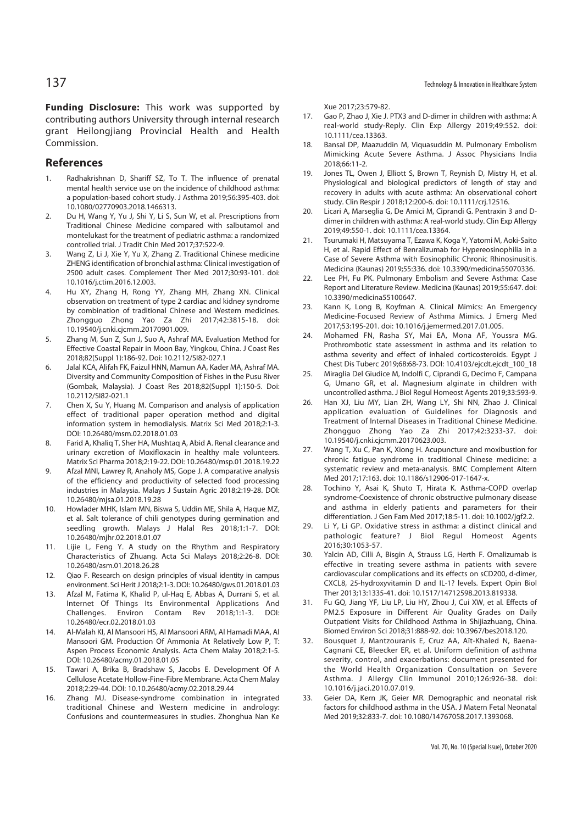**Funding Disclosure:** This work was supported by contributing authors University through internal research grant Heilongjiang Provincial Health and Health Commission.

### **References**

- Radhakrishnan D, Shariff SZ, To T. The influence of prenatal mental health service use on the incidence of childhood asthma: a population-based cohort study. J Asthma 2019;56:395-403. doi: 10.1080/02770903.2018.1466313.
- 2. Du H, Wang Y, Yu J, Shi Y, Li S, Sun W, et al. Prescriptions from Traditional Chinese Medicine compared with salbutamol and montelukast for the treatment of pediatric asthma: a randomized controlled trial. J Tradit Chin Med 2017;37:522-9.
- 3. Wang Z, Li J, Xie Y, Yu X, Zhang Z. Traditional Chinese medicine ZHENG identification of bronchial asthma: Clinical investigation of 2500 adult cases. Complement Ther Med 2017;30:93-101. doi: 10.1016/j.ctim.2016.12.003.
- 4. Hu XY, Zhang H, Rong YY, Zhang MH, Zhang XN. Clinical observation on treatment of type 2 cardiac and kidney syndrome by combination of traditional Chinese and Western medicines. Zhongguo Zhong Yao Za Zhi 2017;42:3815-18. doi: 10.19540/j.cnki.cjcmm.20170901.009.
- 5. Zhang M, Sun Z, Sun J, Suo A, Ashraf MA. Evaluation Method for Effective Coastal Repair in Moon Bay, Yingkou, China. J Coast Res 2018;82(Suppl 1):186-92. Doi: 10.2112/SI82-027.1
- 6. Jalal KCA, Alifah FK, Faizul HNN, Mamun AA, Kader MA, Ashraf MA. Diversity and Community Composition of Fishes in the Pusu River (Gombak, Malaysia). J Coast Res 2018;82(Suppl 1):150-5. Doi: 10.2112/SI82-021.1
- 7. Chen X, Su Y, Huang M. Comparison and analysis of application effect of traditional paper operation method and digital information system in hemodialysis. Matrix Sci Med 2018;2:1-3. DOI: 10.26480/msm.02.2018.01.03
- 8. Farid A, Khalig T, Sher HA, Mushtag A, Abid A, Renal clearance and urinary excretion of Moxifloxacin in healthy male volunteers. Matrix Sci Pharma 2018;2:19-22. DOI: 10.26480/msp.01.2018.19.22
- 9. Afzal MNI, Lawrey R, Anaholy MS, Gope J. A comparative analysis of the efficiency and productivity of selected food processing industries in Malaysia. Malays J Sustain Agric 2018;2:19-28. DOI: 10.26480/mjsa.01.2018.19.28
- 10. Howlader MHK, Islam MN, Biswa S, Uddin ME, Shila A, Haque MZ, et al. Salt tolerance of chili genotypes during germination and seedling growth. Malays J Halal Res 2018;1:1-7. DOI: 10.26480/mjhr.02.2018.01.07
- 11. Lijie L, Feng Y. A study on the Rhythm and Respiratory Characteristics of Zhuang. Acta Sci Malays 2018;2:26-8. DOI: 10.26480/asm.01.2018.26.28
- 12. Qiao F. Research on design principles of visual identity in campus environment. Sci Herit J 2018;2:1-3. DOI: 10.26480/gws.01.2018.01.03
- 13. Afzal M, Fatima K, Khalid P, ul-Haq E, Abbas A, Durrani S, et al. Internet Of Things Its Environmental Applications And Challenges. Environ Contam Rev 2018;1:1-3. DOI: 10.26480/ecr.02.2018.01.03
- 14. Al-Malah KI, Al Mansoori HS, Al Mansoori ARM, Al Hamadi MAA, Al Mansoori GM. Production Of Ammonia At Relatively Low P, T: Aspen Process Economic Analysis. Acta Chem Malay 2018;2:1-5. DOI: 10.26480/acmy.01.2018.01.05
- 15. Tawari A, Brika B, Bradshaw S, Jacobs E. Development Of A Cellulose Acetate Hollow-Fine-Fibre Membrane. Acta Chem Malay 2018;2:29-44. DOI: 10.10.26480/acmy.02.2018.29.44
- 16. Zhang MJ. Disease-syndrome combination in integrated traditional Chinese and Western medicine in andrology: Confusions and countermeasures in studies. Zhonghua Nan Ke

Xue 2017;23:579-82.

- 17. Gao P, Zhao J, Xie J. PTX3 and D-dimer in children with asthma: A real-world study-Reply. Clin Exp Allergy 2019;49:552. doi: 10.1111/cea.13363.
- 18. Bansal DP, Maazuddin M, Viquasuddin M. Pulmonary Embolism Mimicking Acute Severe Asthma. J Assoc Physicians India 2018;66:11-2.
- 19. Jones TL, Owen J, Elliott S, Brown T, Reynish D, Mistry H, et al. Physiological and biological predictors of length of stay and recovery in adults with acute asthma: An observational cohort study. Clin Respir J 2018;12:200-6. doi: 10.1111/crj.12516.
- 20. Licari A, Marseglia G, De Amici M, Ciprandi G. Pentraxin 3 and Ddimer in children with asthma: A real-world study. Clin Exp Allergy 2019;49:550-1. doi: 10.1111/cea.13364.
- 21. Tsurumaki H, Matsuyama T, Ezawa K, Koga Y, Yatomi M, Aoki-Saito H, et al. Rapid Effect of Benralizumab for Hypereosinophilia in a Case of Severe Asthma with Eosinophilic Chronic Rhinosinusitis. Medicina (Kaunas) 2019;55:336. doi: 10.3390/medicina55070336.
- 22. Lee PH, Fu PK. Pulmonary Embolism and Severe Asthma: Case Report and Literature Review. Medicina (Kaunas) 2019;55:647. doi: 10.3390/medicina55100647.
- 23. Kann K, Long B, Koyfman A. Clinical Mimics: An Emergency Medicine-Focused Review of Asthma Mimics. J Emerg Med 2017;53:195-201. doi: 10.1016/j.jemermed.2017.01.005.
- 24. Mohamed FN, Rasha SY, Mai EA, Mona AF, Youssra MG. Prothrombotic state assessment in asthma and its relation to asthma severity and effect of inhaled corticosteroids. Egypt J Chest Dis Tuberc 2019;68:68-73. DOI: 10.4103/ejcdt.ejcdt\_100\_18
- 25. Miraglia Del Giudice M, Indolfi C, Ciprandi G, Decimo F, Campana G, Umano GR, et al. Magnesium alginate in children with uncontrolled asthma. J Biol Regul Homeost Agents 2019;33:593-9.
- 26. Han XJ, Liu MY, Lian ZH, Wang LY, Shi NN, Zhao J. Clinical application evaluation of Guidelines for Diagnosis and Treatment of Internal Diseases in Traditional Chinese Medicine. Zhongguo Zhong Yao Za Zhi 2017;42:3233-37. doi: 10.19540/j.cnki.cjcmm.20170623.003.
- 27. Wang T, Xu C, Pan K, Xiong H. Acupuncture and moxibustion for chronic fatigue syndrome in traditional Chinese medicine: a systematic review and meta-analysis. BMC Complement Altern Med 2017;17:163. doi: 10.1186/s12906-017-1647-x.
- 28. Tochino Y, Asai K, Shuto T, Hirata K. Asthma-COPD overlap syndrome-Coexistence of chronic obstructive pulmonary disease and asthma in elderly patients and parameters for their differentiation. J Gen Fam Med 2017;18:5-11. doi: 10.1002/jgf2.2.
- 29. Li Y, Li GP. Oxidative stress in asthma: a distinct clinical and pathologic feature? J Biol Regul Homeost Agents 2016;30:1053-57.
- 30. Yalcin AD, Cilli A, Bisgin A, Strauss LG, Herth F. Omalizumab is effective in treating severe asthma in patients with severe cardiovascular complications and its effects on sCD200, d-dimer, CXCL8, 25-hydroxyvitamin D and IL-1? levels. Expert Opin Biol Ther 2013;13:1335-41. doi: 10.1517/14712598.2013.819338.
- 31. Fu GQ, Jiang YF, Liu LP, Liu HY, Zhou J, Cui XW, et al. Effects of PM2.5 Exposure in Different Air Quality Grades on Daily Outpatient Visits for Childhood Asthma in Shijiazhuang, China. Biomed Environ Sci 2018;31:888-92. doi: 10.3967/bes2018.120.
- 32. Bousquet J, Mantzouranis E, Cruz AA, Aït-Khaled N, Baena-Cagnani CE, Bleecker ER, et al. Uniform definition of asthma severity, control, and exacerbations: document presented for the World Health Organization Consultation on Severe Asthma. J Allergy Clin Immunol 2010;126:926-38. doi: 10.1016/j.jaci.2010.07.019.
- 33. Geier DA, Kern JK, Geier MR. Demographic and neonatal risk factors for childhood asthma in the USA. J Matern Fetal Neonatal Med 2019;32:833-7. doi: 10.1080/14767058.2017.1393068.